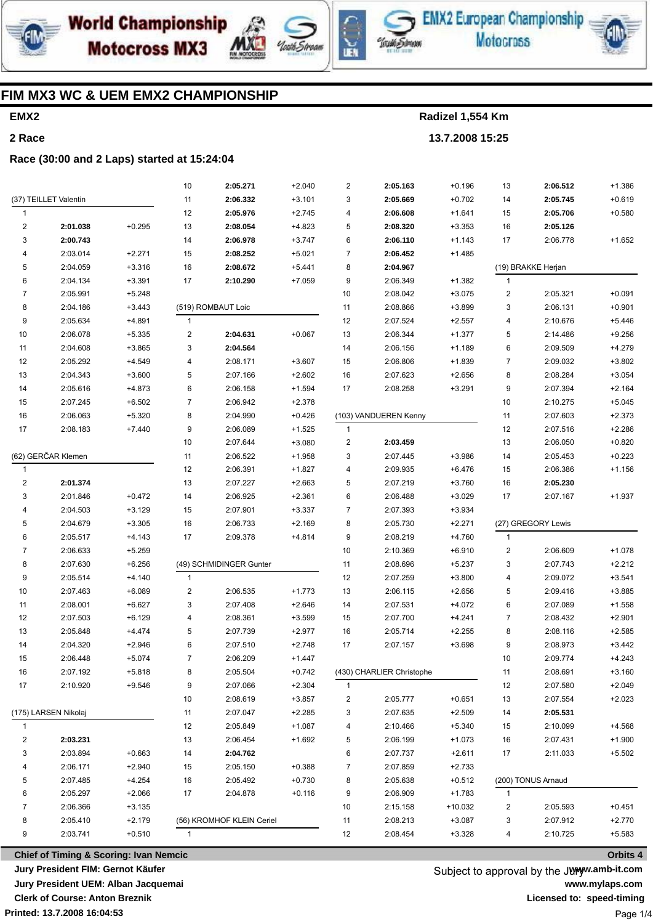





**EMX2 European Championship Motocross** 



## FIM MX3 WC & UEM EMX2 CHAMPIONSHIP

# EMX<sub>2</sub> 2 Race

Radizel 1,554 Km 13.7.2008 15:25

#### Race (30:00 and 2 Laps) started at 15:24:04

|                    |                       |          | 10             | 2:05.271                  | $+2.040$ | $\overline{c}$ | 2:05.163                  | $+0.196$  | 13                      | 2:06.512           | $+1.386$ |
|--------------------|-----------------------|----------|----------------|---------------------------|----------|----------------|---------------------------|-----------|-------------------------|--------------------|----------|
|                    | (37) TEILLET Valentin |          | 11             | 2:06.332                  | $+3.101$ | 3              | 2:05.669                  | $+0.702$  | 14                      | 2:05.745           | $+0.619$ |
| 1                  |                       |          | 12             | 2:05.976                  | $+2.745$ | 4              | 2:06.608                  | $+1.641$  | 15                      | 2:05.706           | $+0.580$ |
| $\mathbf 2$        | 2:01.038              | $+0.295$ | 13             | 2:08.054                  | $+4.823$ | 5              | 2:08.320                  | $+3.353$  | 16                      | 2:05.126           |          |
| 3                  | 2:00.743              |          | 14             | 2:06.978                  | $+3.747$ | 6              | 2:06.110                  | $+1.143$  | 17                      | 2:06.778           | $+1.652$ |
| 4                  | 2:03.014              | $+2.271$ | 15             | 2:08.252                  | $+5.021$ | 7              | 2:06.452                  | $+1.485$  |                         |                    |          |
| 5                  | 2:04.059              | $+3.316$ | 16             | 2:08.672                  | $+5.441$ | 8              | 2:04.967                  |           |                         | (19) BRAKKE Herjan |          |
| 6                  | 2:04.134              | $+3.391$ | 17             | 2:10.290                  | $+7.059$ | 9              | 2:06.349                  | $+1.382$  | $\mathbf{1}$            |                    |          |
| $\overline{7}$     | 2:05.991              | $+5.248$ |                |                           |          | 10             | 2:08.042                  | $+3.075$  | $\overline{c}$          | 2:05.321           | $+0.091$ |
| 8                  | 2:04.186              | $+3.443$ |                | (519) ROMBAUT Loic        |          | 11             | 2:08.866                  | $+3.899$  | 3                       | 2:06.131           | $+0.901$ |
| 9                  | 2:05.634              | $+4.891$ | $\mathbf{1}$   |                           |          | 12             | 2:07.524                  | $+2.557$  | $\overline{4}$          | 2:10.676           | $+5.446$ |
| 10                 | 2:06.078              | $+5.335$ | 2              | 2:04.631                  | $+0.067$ | 13             | 2:06.344                  | $+1.377$  | 5                       | 2:14.486           | $+9.256$ |
| 11                 | 2:04.608              | $+3.865$ | 3              | 2:04.564                  |          | 14             | 2:06.156                  | $+1.189$  | 6                       | 2:09.509           | $+4.279$ |
| 12                 | 2:05.292              | $+4.549$ | 4              | 2:08.171                  | $+3.607$ | 15             | 2:06.806                  | $+1.839$  | $\overline{7}$          | 2:09.032           | $+3.802$ |
| 13                 | 2:04.343              | $+3.600$ | 5              | 2:07.166                  | $+2.602$ | 16             | 2:07.623                  | $+2.656$  | 8                       | 2:08.284           | $+3.054$ |
| 14                 | 2:05.616              | $+4.873$ | 6              | 2:06.158                  | $+1.594$ | 17             | 2:08.258                  | $+3.291$  | 9                       | 2:07.394           | $+2.164$ |
| 15                 | 2:07.245              | $+6.502$ | $\overline{7}$ | 2:06.942                  | $+2.378$ |                |                           |           | 10                      | 2:10.275           | $+5.045$ |
| 16                 | 2:06.063              | $+5.320$ | 8              | 2:04.990                  | $+0.426$ |                | (103) VANDUEREN Kenny     |           | 11                      | 2:07.603           | $+2.373$ |
| 17                 | 2:08.183              | $+7.440$ | 9              | 2:06.089                  | $+1.525$ | $\mathbf{1}$   |                           |           | 12                      | 2:07.516           | $+2.286$ |
|                    |                       |          | 10             | 2:07.644                  | $+3.080$ | 2              | 2:03.459                  |           | 13                      | 2:06.050           | $+0.820$ |
| (62) GERČAR Klemen |                       |          | 11             | 2:06.522                  | $+1.958$ | 3              | 2:07.445                  | $+3.986$  | 14                      | 2:05.453           | $+0.223$ |
| 1                  |                       |          | 12             | 2:06.391                  | $+1.827$ | 4              | 2:09.935                  | $+6.476$  | 15                      | 2:06.386           | $+1.156$ |
| 2                  | 2:01.374              |          | 13             | 2:07.227                  | $+2.663$ | 5              | 2:07.219                  | $+3.760$  | 16                      | 2:05.230           |          |
| 3                  | 2:01.846              | $+0.472$ | 14             | 2:06.925                  | $+2.361$ | 6              | 2:06.488                  | $+3.029$  | 17                      | 2:07.167           | $+1.937$ |
| 4                  | 2:04.503              | $+3.129$ | 15             | 2:07.901                  | $+3.337$ | 7              | 2:07.393                  | $+3.934$  |                         |                    |          |
| 5                  | 2:04.679              | $+3.305$ | 16             | 2:06.733                  | $+2.169$ | 8              | 2:05.730                  | $+2.271$  |                         | (27) GREGORY Lewis |          |
| 6                  | 2:05.517              | $+4.143$ | 17             | 2:09.378                  | $+4.814$ | 9              | 2:08.219                  | $+4.760$  | $\mathbf{1}$            |                    |          |
| 7                  | 2:06.633              | $+5.259$ |                |                           |          | 10             | 2:10.369                  | $+6.910$  | $\overline{\mathbf{c}}$ | 2:06.609           | $+1.078$ |
| 8                  | 2:07.630              | $+6.256$ |                | (49) SCHMIDINGER Gunter   |          | 11             | 2:08.696                  | $+5.237$  | 3                       | 2:07.743           | $+2.212$ |
| 9                  | 2:05.514              | $+4.140$ | $\mathbf{1}$   |                           |          | 12             | 2:07.259                  | $+3.800$  | $\overline{4}$          | 2:09.072           | $+3.541$ |
| 10                 | 2:07.463              | $+6.089$ | $\sqrt{2}$     | 2:06.535                  | $+1.773$ | 13             | 2:06.115                  | $+2.656$  | 5                       | 2:09.416           | $+3.885$ |
| 11                 | 2:08.001              | $+6.627$ | 3              | 2:07.408                  | $+2.646$ | 14             | 2:07.531                  | $+4.072$  | 6                       | 2:07.089           | $+1.558$ |
| 12                 | 2:07.503              | $+6.129$ | 4              | 2:08.361                  | $+3.599$ | 15             | 2:07.700                  | $+4.241$  | $\overline{7}$          | 2:08.432           | $+2.901$ |
| 13                 | 2:05.848              | $+4.474$ | 5              | 2:07.739                  | $+2.977$ | 16             | 2:05.714                  | $+2.255$  | 8                       | 2:08.116           | $+2.585$ |
| 14                 | 2:04.320              | $+2.946$ | 6              | 2:07.510                  | $+2.748$ | 17             | 2:07.157                  | $+3.698$  | 9                       | 2:08.973           | $+3.442$ |
| 15                 | 2:06.448              | $+5.074$ | $\overline{7}$ | 2:06.209                  | $+1.447$ |                |                           |           | 10                      | 2:09.774           | $+4.243$ |
| 16                 | 2:07.192              | $+5.818$ | 8              | 2:05.504                  | $+0.742$ |                | (430) CHARLIER Christophe |           | 11                      | 2:08.691           | $+3.160$ |
| 17                 | 2:10.920              | $+9.546$ | 9              | 2:07.066                  | $+2.304$ | $\mathbf{1}$   |                           |           | 12                      | 2:07.580           | $+2.049$ |
|                    |                       |          | 10             | 2:08.619                  | $+3.857$ | 2              | 2:05.777                  | $+0.651$  | 13                      | 2:07.554           | $+2.023$ |
|                    | (175) LARSEN Nikolaj  |          | 11             | 2:07.047                  | $+2.285$ | 3              | 2:07.635                  | $+2.509$  | 14                      | 2:05.531           |          |
| 1                  |                       |          | 12             | 2:05.849                  | $+1.087$ | 4              | 2:10.466                  | $+5.340$  | 15                      | 2:10.099           | +4.568   |
| 2                  | 2:03.231              |          | 13             | 2:06.454                  | $+1.692$ | 5              | 2:06.199                  | $+1.073$  | 16                      | 2:07.431           | $+1.900$ |
| 3                  | 2:03.894              | $+0.663$ | 14             | 2:04.762                  |          | 6              | 2:07.737                  | $+2.611$  | 17                      | 2:11.033           | $+5.502$ |
| 4                  | 2:06.171              | $+2.940$ | 15             | 2:05.150                  | $+0.388$ | 7              | 2:07.859                  | $+2.733$  |                         |                    |          |
| 5                  | 2:07.485              | $+4.254$ | 16             | 2:05.492                  | $+0.730$ | 8              | 2:05.638                  | $+0.512$  |                         | (200) TONUS Arnaud |          |
| 6                  | 2:05.297              | $+2.066$ | 17             | 2:04.878                  | $+0.116$ | 9              | 2:06.909                  | $+1.783$  | $\mathbf{1}$            |                    |          |
| 7                  | 2:06.366              | $+3.135$ |                |                           |          | 10             | 2:15.158                  | $+10.032$ | 2                       | 2:05.593           | $+0.451$ |
| 8                  | 2:05.410              | $+2.179$ |                | (56) KROMHOF KLEIN Ceriel |          | 11             | 2:08.213                  | $+3.087$  | 3                       | 2:07.912           | $+2.770$ |
| 9                  | 2:03.741              | $+0.510$ | $\mathbf{1}$   |                           |          | 12             | 2:08.454                  | $+3.328$  | 4                       | 2:10.725           | $+5.583$ |
|                    |                       |          |                |                           |          |                |                           |           |                         |                    |          |

**Chief of Timing & Scoring: Ivan Nemcic** Jury President FIM: Gernot Käufer Jury President UEM: Alban Jacquemai **Clerk of Course: Anton Breznik** 

Subject to approval by the Junyw.amb-it.com www.mylaps.com Licensed to: speed-timing Page 1/4

Orbits 4

Printed: 13.7.2008 16:04:53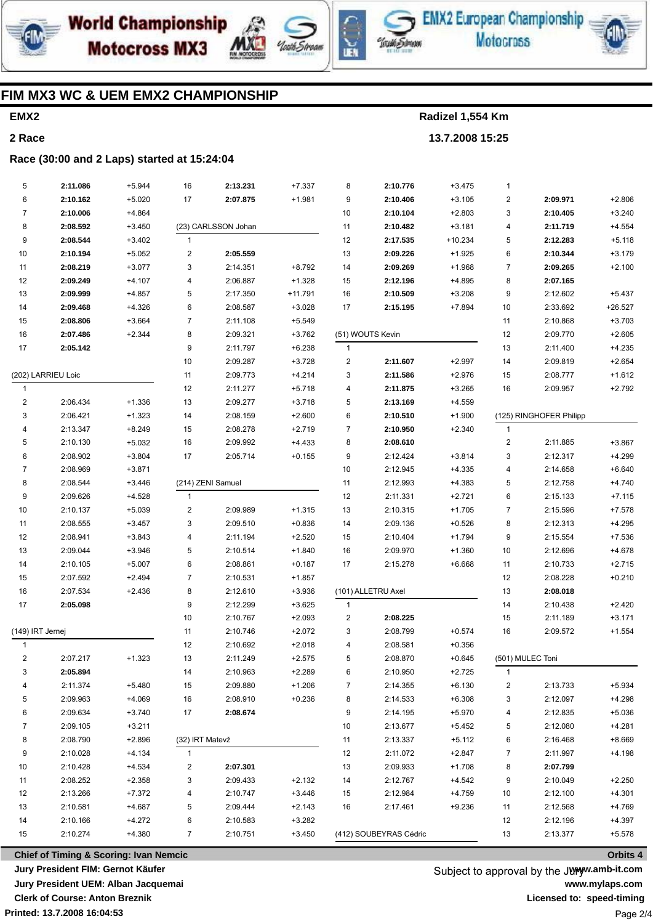





EMX2 European Championship **Motocross** 



## FIM MX3 WC & UEM EMX2 CHAMPIONSHIP

# EMX<sub>2</sub> 2 Race

Radizel 1,554 Km 13.7.2008 15:25

Race (30:00 and 2 Laps) started at 15:24:04

| 5                | 2:11.086                                          | $+5.944$ | 16              | 2:13.231            | $+7.337$  | 8                       | 2:10.776               | $+3.475$  | $\mathbf{1}$            |                         |           |
|------------------|---------------------------------------------------|----------|-----------------|---------------------|-----------|-------------------------|------------------------|-----------|-------------------------|-------------------------|-----------|
| 6                | 2:10.162                                          | $+5.020$ | 17              | 2:07.875            | $+1.981$  | 9                       | 2:10.406               | $+3.105$  | $\overline{\mathbf{c}}$ | 2:09.971                | $+2.806$  |
| 7                | 2:10.006                                          | $+4.864$ |                 |                     |           | 10                      | 2:10.104               | $+2.803$  | 3                       | 2:10.405                | $+3.240$  |
| 8                | 2:08.592                                          | $+3.450$ |                 | (23) CARLSSON Johan |           | 11                      | 2:10.482               | $+3.181$  | 4                       | 2:11.719                | $+4.554$  |
| 9                | 2:08.544                                          | $+3.402$ | $\mathbf{1}$    |                     |           | 12                      | 2:17.535               | $+10.234$ | 5                       | 2:12.283                | $+5.118$  |
| 10               | 2:10.194                                          | $+5.052$ | 2               | 2:05.559            |           | 13                      | 2:09.226               | $+1.925$  | 6                       | 2:10.344                | $+3.179$  |
| 11               | 2:08.219                                          | $+3.077$ | 3               | 2:14.351            | $+8.792$  | 14                      | 2:09.269               | $+1.968$  | $\overline{7}$          | 2:09.265                | $+2.100$  |
| 12               | 2:09.249                                          | $+4.107$ | 4               | 2:06.887            | $+1.328$  | 15                      | 2:12.196               | $+4.895$  | 8                       | 2:07.165                |           |
| 13               | 2:09.999                                          | $+4.857$ | 5               | 2:17.350            | $+11.791$ | 16                      | 2:10.509               | $+3.208$  | 9                       | 2:12.602                | $+5.437$  |
| 14               | 2:09.468                                          | $+4.326$ | 6               | 2:08.587            | $+3.028$  | 17                      | 2:15.195               | $+7.894$  | 10                      | 2:33.692                | $+26.527$ |
| 15               | 2:08.806                                          | $+3.664$ | $\overline{7}$  | 2:11.108            | $+5.549$  |                         |                        |           | 11                      | 2:10.868                | $+3.703$  |
| 16               | 2:07.486                                          | $+2.344$ | 8               | 2:09.321            | $+3.762$  |                         | (51) WOUTS Kevin       |           | 12                      | 2:09.770                | $+2.605$  |
| 17               | 2:05.142                                          |          | 9               | 2:11.797            | $+6.238$  | $\mathbf{1}$            |                        |           | 13                      | 2:11.400                | $+4.235$  |
|                  |                                                   |          | 10              | 2:09.287            | $+3.728$  | 2                       | 2:11.607               | $+2.997$  | 14                      | 2:09.819                | $+2.654$  |
|                  | (202) LARRIEU Loic                                |          | 11              | 2:09.773            | $+4.214$  | 3                       | 2:11.586               | $+2.976$  | 15                      | 2:08.777                | $+1.612$  |
| 1                |                                                   |          | 12              | 2:11.277            | $+5.718$  | 4                       | 2:11.875               | $+3.265$  | 16                      | 2:09.957                | $+2.792$  |
| 2                | 2:06.434                                          | $+1.336$ | 13              | 2:09.277            | $+3.718$  | 5                       | 2:13.169               | $+4.559$  |                         |                         |           |
| 3                | 2:06.421                                          | $+1.323$ | 14              | 2:08.159            | $+2.600$  | 6                       | 2:10.510               | $+1.900$  |                         | (125) RINGHOFER Philipp |           |
| 4                | 2:13.347                                          | $+8.249$ | 15              | 2:08.278            | $+2.719$  | 7                       | 2:10.950               | $+2.340$  | $\mathbf{1}$            |                         |           |
| 5                | 2:10.130                                          | $+5.032$ | 16              | 2:09.992            | $+4.433$  | 8                       | 2:08.610               |           | 2                       | 2:11.885                | $+3.867$  |
| 6                | 2:08.902                                          | $+3.804$ | 17              | 2:05.714            | $+0.155$  | 9                       | 2:12.424               | $+3.814$  | 3                       | 2:12.317                | $+4.299$  |
| 7                | 2:08.969                                          | $+3.871$ |                 |                     |           | 10                      | 2:12.945               | $+4.335$  | 4                       | 2:14.658                | $+6.640$  |
| 8                | 2:08.544                                          | $+3.446$ |                 | (214) ZENI Samuel   |           | 11                      | 2:12.993               | +4.383    | 5                       | 2:12.758                | $+4.740$  |
| 9                | 2:09.626                                          | $+4.528$ | $\mathbf{1}$    |                     |           | 12                      | 2:11.331               | $+2.721$  | 6                       | 2:15.133                | $+7.115$  |
| 10               | 2:10.137                                          | $+5.039$ | 2               | 2:09.989            | $+1.315$  | 13                      | 2:10.315               | $+1.705$  | $\overline{7}$          | 2:15.596                | $+7.578$  |
| 11               | 2:08.555                                          | $+3.457$ | 3               | 2:09.510            | $+0.836$  | 14                      | 2:09.136               | $+0.526$  | 8                       | 2:12.313                | $+4.295$  |
| 12               | 2:08.941                                          | $+3.843$ | 4               | 2:11.194            | $+2.520$  | 15                      | 2:10.404               | $+1.794$  | 9                       | 2:15.554                | $+7.536$  |
| 13               | 2:09.044                                          | $+3.946$ | 5               | 2:10.514            | $+1.840$  | 16                      | 2:09.970               | $+1.360$  | $10$                    | 2:12.696                | $+4.678$  |
| 14               | 2:10.105                                          | $+5.007$ | 6               | 2:08.861            | $+0.187$  | 17                      | 2:15.278               | $+6.668$  | 11                      | 2:10.733                | $+2.715$  |
| 15               | 2:07.592                                          | $+2.494$ | $\overline{7}$  | 2:10.531            | $+1.857$  |                         |                        |           | 12                      | 2:08.228                | $+0.210$  |
| 16               | 2:07.534                                          | $+2.436$ | 8               | 2:12.610            | $+3.936$  |                         | (101) ALLETRU Axel     |           | 13                      | 2:08.018                |           |
| 17               | 2:05.098                                          |          | 9               | 2:12.299            | $+3.625$  | $\overline{1}$          |                        |           | 14                      | 2:10.438                | $+2.420$  |
|                  |                                                   |          | 10              | 2:10.767            | $+2.093$  | $\overline{\mathbf{c}}$ | 2:08.225               |           | 15                      | 2:11.189                | $+3.171$  |
| (149) IRT Jernej |                                                   |          | 11              | 2:10.746            | $+2.072$  | 3                       | 2:08.799               | $+0.574$  | 16                      | 2:09.572                | $+1.554$  |
| 1                |                                                   |          | 12              | 2:10.692            | $+2.018$  | 4                       | 2:08.581               | $+0.356$  |                         |                         |           |
| 2                | 2:07.217                                          | $+1.323$ | 13              | 2:11.249            | $+2.575$  | 5                       | 2:08.870               | $+0.645$  | (501) MULEC Toni        |                         |           |
| 3                | 2:05.894                                          |          | 14              | 2:10.963            | $+2.289$  | 6                       | 2:10.950               | $+2.725$  | 1                       |                         |           |
| 4                | 2:11.374                                          | $+5.480$ | 15              | 2:09.880            | $+1.206$  | 7                       | 2:14.355               | $+6.130$  | 2                       | 2:13.733                | $+5.934$  |
| 5                | 2:09.963                                          | $+4.069$ | 16              | 2:08.910            | $+0.236$  | 8                       | 2:14.533               | $+6.308$  | 3                       | 2:12.097                | $+4.298$  |
| 6                | 2:09.634                                          | $+3.740$ | 17              | 2:08.674            |           | 9                       | 2:14.195               | $+5.970$  | 4                       | 2:12.835                | $+5.036$  |
| 7                | 2:09.105                                          | $+3.211$ |                 |                     |           | 10                      | 2:13.677               | +5.452    | 5                       | 2:12.080                | $+4.281$  |
| 8                | 2:08.790                                          | $+2.896$ | (32) IRT Matevž |                     |           | 11                      | 2:13.337               | $+5.112$  | 6                       | 2:16.468                | $+8.669$  |
| 9                | 2:10.028                                          | $+4.134$ | $\mathbf{1}$    |                     |           | 12                      | 2:11.072               | $+2.847$  | 7                       | 2:11.997                | $+4.198$  |
| 10               | 2:10.428                                          | $+4.534$ | 2               | 2:07.301            |           | 13                      | 2:09.933               | $+1.708$  | 8                       | 2:07.799                |           |
| 11               | 2:08.252                                          | $+2.358$ | 3               | 2:09.433            | $+2.132$  | 14                      | 2:12.767               | +4.542    | 9                       | 2:10.049                | $+2.250$  |
| 12               | 2:13.266                                          | $+7.372$ | 4               | 2:10.747            | $+3.446$  | 15                      | 2:12.984               | $+4.759$  | 10                      | 2:12.100                | $+4.301$  |
| 13               | 2:10.581                                          | $+4.687$ | 5               | 2:09.444            | $+2.143$  | 16                      | 2:17.461               | $+9.236$  | 11                      | 2:12.568                | $+4.769$  |
| 14               | 2:10.166                                          | $+4.272$ | 6               | 2:10.583            | $+3.282$  |                         |                        |           | 12                      | 2:12.196                | $+4.397$  |
| 15               | 2:10.274                                          | $+4.380$ | 7               | 2:10.751            | $+3.450$  |                         | (412) SOUBEYRAS Cédric |           | 13                      | 2:13.377                | $+5.578$  |
|                  | <b>Chief of Timing &amp; Scoring: Ivan Nemcic</b> |          |                 |                     |           |                         |                        |           |                         |                         | Orbits 4  |

**Chief of Timing & Scoring: Ivan Nemcic** Jury President FIM: Gernot Käufer Jury President UEM: Alban Jacquemai **Clerk of Course: Anton Breznik** Printed: 13.7.2008 16:04:53

Subject to approval by the Junyw.amb-it.com www.mylaps.com Licensed to: speed-timing Page 2/4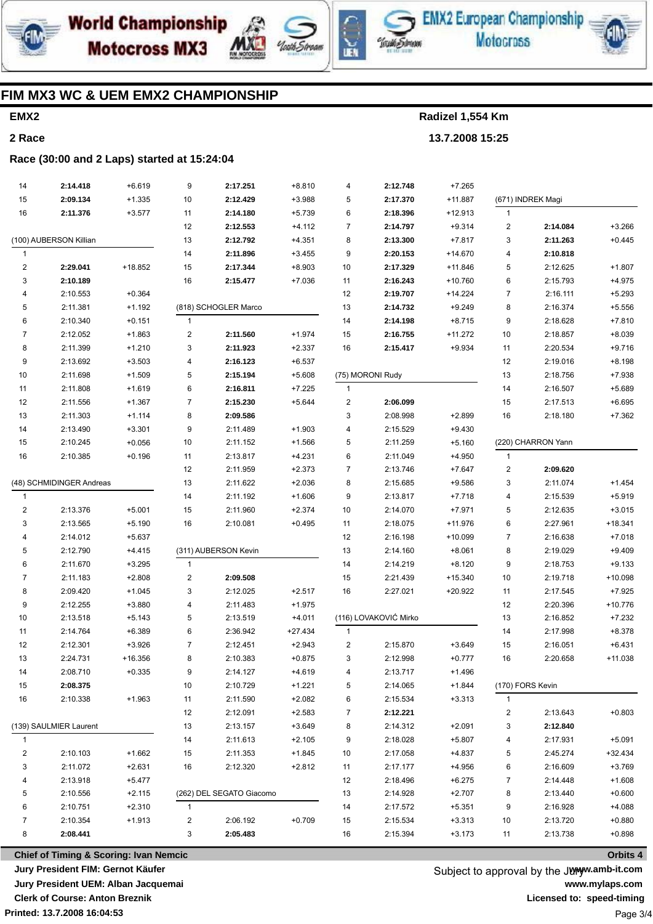





**EMX2 European Championship Motocross** 

### FIM MX3 WC & UEM EMX2 CHAMPIONSHIP

# EMX<sub>2</sub> 2 Race

Radizel 1,554 Km 13.7.2008 15:25

#### Race (30:00 and 2 Laps) started at 15:24:04

| 14                       | 2:14.418               | $+6.619$ | 9                       | 2:17.251                 | $+8.810$  | 4                       | 2:12.748              | $+7.265$  |                         |                    |           |
|--------------------------|------------------------|----------|-------------------------|--------------------------|-----------|-------------------------|-----------------------|-----------|-------------------------|--------------------|-----------|
| 15                       | 2:09.134               | $+1.335$ | 10                      | 2:12.429                 | $+3.988$  | 5                       | 2:17.370              | $+11.887$ |                         | (671) INDREK Magi  |           |
| 16                       | 2:11.376               | $+3.577$ | 11                      | 2:14.180                 | $+5.739$  | 6                       | 2:18.396              | $+12.913$ | $\mathbf{1}$            |                    |           |
|                          |                        |          | 12                      | 2:12.553                 | $+4.112$  | $\overline{7}$          | 2:14.797              | $+9.314$  | $\sqrt{2}$              | 2:14.084           | $+3.266$  |
| (100) AUBERSON Killian   |                        |          | 13                      | 2:12.792                 | $+4.351$  | 8                       | 2:13.300              | $+7.817$  | 3                       | 2:11.263           | $+0.445$  |
| 1                        |                        |          | 14                      | 2:11.896                 | $+3.455$  | 9                       | 2:20.153              | +14.670   | $\overline{4}$          | 2:10.818           |           |
| $\overline{\mathbf{c}}$  | 2:29.041               | +18.852  | 15                      | 2:17.344                 | $+8.903$  | $10$                    | 2:17.329              | $+11.846$ | 5                       | 2:12.625           | $+1.807$  |
| 3                        | 2:10.189               |          | 16                      | 2:15.477                 | $+7.036$  | 11                      | 2:16.243              | +10.760   | 6                       | 2:15.793           | $+4.975$  |
| 4                        | 2:10.553               | $+0.364$ |                         |                          |           | 12                      | 2:19.707              | $+14.224$ | $\overline{7}$          | 2:16.111           | $+5.293$  |
| 5                        | 2:11.381               | $+1.192$ |                         | (818) SCHOGLER Marco     |           | 13                      | 2:14.732              | $+9.249$  | 8                       | 2:16.374           | $+5.556$  |
| 6                        | 2:10.340               | $+0.151$ | $\mathbf{1}$            |                          |           | 14                      | 2:14.198              | $+8.715$  | 9                       | 2:18.628           | $+7.810$  |
| $\overline{7}$           | 2:12.052               | $+1.863$ | $\overline{\mathbf{c}}$ | 2:11.560                 | $+1.974$  | 15                      | 2:16.755              | $+11.272$ | $10$                    | 2:18.857           | $+8.039$  |
| 8                        | 2:11.399               | $+1.210$ | 3                       | 2:11.923                 | $+2.337$  | 16                      | 2:15.417              | $+9.934$  | 11                      | 2:20.534           | $+9.716$  |
| 9                        | 2:13.692               | $+3.503$ | 4                       | 2:16.123                 | $+6.537$  |                         |                       |           | 12                      | 2:19.016           | $+8.198$  |
| 10                       | 2:11.698               | $+1.509$ | 5                       | 2:15.194                 | $+5.608$  |                         | (75) MORONI Rudy      |           | 13                      | 2:18.756           | $+7.938$  |
| 11                       | 2:11.808               | $+1.619$ | 6                       | 2:16.811                 | $+7.225$  | $\mathbf{1}$            |                       |           | 14                      | 2:16.507           | $+5.689$  |
| 12                       | 2:11.556               | $+1.367$ | $\overline{7}$          | 2:15.230                 | $+5.644$  | $\overline{\mathbf{c}}$ | 2:06.099              |           | 15                      | 2:17.513           | $+6.695$  |
| 13                       | 2:11.303               | $+1.114$ | 8                       | 2:09.586                 |           | 3                       | 2:08.998              | $+2.899$  | 16                      | 2:18.180           | $+7.362$  |
| 14                       | 2:13.490               | $+3.301$ | 9                       | 2:11.489                 | $+1.903$  | 4                       | 2:15.529              | $+9.430$  |                         |                    |           |
| 15                       | 2:10.245               | $+0.056$ | 10                      | 2:11.152                 | $+1.566$  | 5                       | 2:11.259              | $+5.160$  |                         | (220) CHARRON Yann |           |
| 16                       | 2:10.385               | $+0.196$ | 11                      | 2:13.817                 | $+4.231$  | 6                       | 2:11.049              | $+4.950$  | $\mathbf{1}$            |                    |           |
|                          |                        |          | 12                      | 2:11.959                 | $+2.373$  | 7                       | 2:13.746              | $+7.647$  | $\overline{c}$          | 2:09.620           |           |
| (48) SCHMIDINGER Andreas |                        |          | 13                      | 2:11.622                 | $+2.036$  | 8                       | 2:15.685              | $+9.586$  | 3                       | 2:11.074           | $+1.454$  |
| 1                        |                        |          | 14                      | 2:11.192                 | $+1.606$  | 9                       | 2:13.817              | $+7.718$  | $\overline{\mathbf{4}}$ | 2:15.539           | $+5.919$  |
| 2                        | 2:13.376               | $+5.001$ | 15                      | 2:11.960                 | $+2.374$  | 10                      | 2:14.070              | $+7.971$  | 5                       | 2:12.635           | $+3.015$  |
| 3                        | 2:13.565               | $+5.190$ | 16                      | 2:10.081                 | $+0.495$  | 11                      | 2:18.075              | +11.976   | 6                       | 2:27.961           | $+18.341$ |
| 4                        | 2:14.012               | $+5.637$ |                         |                          |           | 12                      | 2:16.198              | +10.099   | $\overline{7}$          | 2:16.638           | $+7.018$  |
| 5                        | 2:12.790               | $+4.415$ |                         | (311) AUBERSON Kevin     |           | 13                      | 2:14.160              | $+8.061$  | 8                       | 2:19.029           | $+9.409$  |
| 6                        | 2:11.670               | $+3.295$ | $\mathbf{1}$            |                          |           | 14                      | 2:14.219              | $+8.120$  | 9                       | 2:18.753           | $+9.133$  |
| $\overline{7}$           | 2:11.183               | $+2.808$ | $\overline{\mathbf{c}}$ | 2:09.508                 |           | 15                      | 2:21.439              | $+15.340$ | 10                      | 2:19.718           | $+10.098$ |
| 8                        | 2:09.420               | $+1.045$ | 3                       | 2:12.025                 | $+2.517$  | 16                      | 2:27.021              | $+20.922$ | 11                      | 2:17.545           | $+7.925$  |
| 9                        | 2:12.255               | $+3.880$ | 4                       | 2:11.483                 | $+1.975$  |                         |                       |           | 12                      | 2:20.396           | $+10.776$ |
| 10                       | 2:13.518               | $+5.143$ | 5                       | 2:13.519                 | $+4.011$  |                         | (116) LOVAKOVIĆ Mirko |           | 13                      | 2:16.852           | $+7.232$  |
| 11                       | 2:14.764               | $+6.389$ | 6                       | 2:36.942                 | $+27.434$ | $\mathbf{1}$            |                       |           | 14                      | 2:17.998           | $+8.378$  |
| 12                       | 2:12.301               | $+3.926$ | $\overline{7}$          | 2:12.451                 | $+2.943$  | $\overline{\mathbf{c}}$ | 2:15.870              | $+3.649$  | 15                      | 2:16.051           | $+6.431$  |
| 13                       | 2:24.731               | +16.356  | 8                       | 2:10.383                 | $+0.875$  | 3                       | 2:12.998              | $+0.777$  | 16                      | 2:20.658           | $+11.038$ |
| 14                       | 2:08.710               | $+0.335$ | 9                       | 2:14.127                 | $+4.619$  | 4                       | 2:13.717              | $+1.496$  |                         |                    |           |
| 15                       | 2:08.375               |          | 10                      | 2:10.729                 | $+1.221$  | 5                       | 2:14.065              | +1.844    | (170) FORS Kevin        |                    |           |
| 16                       | 2:10.338               | $+1.963$ | 11                      | 2:11.590                 | $+2.082$  | 6                       | 2:15.534              | $+3.313$  | $\mathbf{1}$            |                    |           |
|                          |                        |          | 12                      | 2:12.091                 | $+2.583$  | 7                       | 2:12.221              |           | 2                       | 2:13.643           | $+0.803$  |
|                          | (139) SAULMIER Laurent |          | 13                      |                          |           | 8                       |                       |           | 3                       |                    |           |
| $\mathbf{1}$             |                        |          |                         | 2:13.157                 | $+3.649$  |                         | 2:14.312              | $+2.091$  |                         | 2:12.840           | $+5.091$  |
|                          |                        |          | 14                      | 2:11.613                 | $+2.105$  | 9                       | 2:18.028              | $+5.807$  | 4                       | 2:17.931           |           |
| 2                        | 2:10.103               | $+1.662$ | 15                      | 2:11.353                 | $+1.845$  | 10                      | 2:17.058              | +4.837    | 5                       | 2:45.274           | +32.434   |
| 3                        | 2:11.072               | $+2.631$ | 16                      | 2:12.320                 | $+2.812$  | 11                      | 2:17.177              | +4.956    | 6                       | 2:16.609           | $+3.769$  |
| 4                        | 2:13.918               | $+5.477$ |                         |                          |           | 12                      | 2:18.496              | $+6.275$  | $\overline{7}$          | 2:14.448           | $+1.608$  |
| 5                        | 2:10.556               | +2.115   |                         | (262) DEL SEGATO Giacomo |           | 13                      | 2:14.928              | $+2.707$  | 8                       | 2:13.440           | $+0.600$  |
| 6                        | 2:10.751               | $+2.310$ | $\mathbf{1}$            |                          |           | 14                      | 2:17.572              | $+5.351$  | 9                       | 2:16.928           | $+4.088$  |
| 7                        | 2:10.354               | $+1.913$ | 2                       | 2:06.192                 | $+0.709$  | 15                      | 2:15.534              | $+3.313$  | 10                      | 2:13.720           | $+0.880$  |
| 8                        | 2:08.441               |          | 3                       | 2:05.483                 |           | 16                      | 2:15.394              | $+3.173$  | 11                      | 2:13.738           | $+0.898$  |

**Chief of Timing & Scoring: Ivan Nemcic** Jury President FIM: Gernot Käufer Jury President UEM: Alban Jacquemai **Clerk of Course: Anton Breznik** Printed: 13.7.2008 16:04:53

Subject to approval by the Junyw.amb-it.com www.mylaps.com Licensed to: speed-timing Page 3/4

Orbits 4